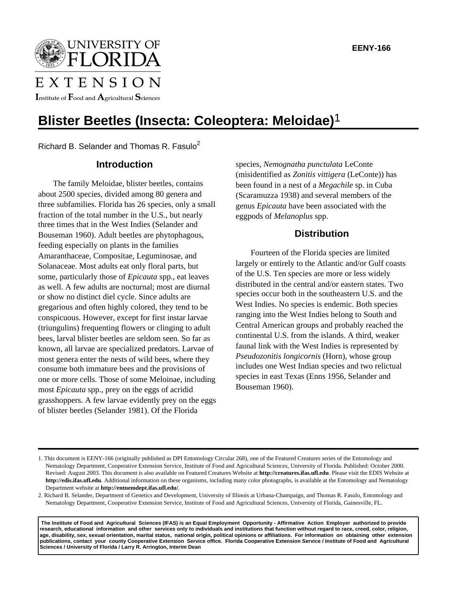UNIVERSITY OF **LORIDA** 

# EXTENSION

Institute of  $\mathbf F$ ood and  $\mathbf A$ gricultural  $\mathbf S$ ciences

## **Blister Beetles (Insecta: Coleoptera: Meloidae)**1

Richard B. Selander and Thomas R. Fasulo<sup>2</sup>

### **Introduction**

The family Meloidae, blister beetles, contains about 2500 species, divided among 80 genera and three subfamilies. Florida has 26 species, only a small fraction of the total number in the U.S., but nearly three times that in the West Indies (Selander and Bouseman 1960). Adult beetles are phytophagous, feeding especially on plants in the families Amaranthaceae, Compositae, Leguminosae, and Solanaceae. Most adults eat only floral parts, but some, particularly those of *Epicauta* spp., eat leaves as well. A few adults are nocturnal; most are diurnal or show no distinct diel cycle. Since adults are gregarious and often highly colored, they tend to be conspicuous. However, except for first instar larvae (triungulins) frequenting flowers or clinging to adult bees, larval blister beetles are seldom seen. So far as known, all larvae are specialized predators. Larvae of most genera enter the nests of wild bees, where they consume both immature bees and the provisions of one or more cells. Those of some Meloinae, including most *Epicauta* spp., prey on the eggs of acridid grasshoppers. A few larvae evidently prey on the eggs of blister beetles (Selander 1981). Of the Florida

species, *Nemognatha punctulata* LeConte (misidentified as *Zonitis vittigera* (LeConte)) has been found in a nest of a *Megachile* sp. in Cuba (Scaramuzza 1938) and several members of the genus *Epicauta* have been associated with the eggpods of *Melanoplus* spp.

## **Distribution**

Fourteen of the Florida species are limited largely or entirely to the Atlantic and/or Gulf coasts of the U.S. Ten species are more or less widely distributed in the central and/or eastern states. Two species occur both in the southeastern U.S. and the West Indies. No species is endemic. Both species ranging into the West Indies belong to South and Central American groups and probably reached the continental U.S. from the islands. A third, weaker faunal link with the West Indies is represented by *Pseudozonitis longicornis* (Horn), whose group includes one West Indian species and two relictual species in east Texas (Enns 1956, Selander and Bouseman 1960).

 **The Institute of Food and Agricultural Sciences (IFAS) is an Equal Employment Opportunity - Affirmative Action Employer authorized to provide research, educational information and other services only to individuals and institutions that function without regard to race, creed, color, religion, age, disability, sex, sexual orientation, marital status, national origin, political opinions or affiliations. For information on obtaining other extension publications, contact your county Cooperative Extension Service office. Florida Cooperative Extension Service / Institute of Food and Agricultural Sciences / University of Florida / Larry R. Arrington, Interim Dean**

<sup>1.</sup> This document is EENY-166 (originally published as DPI Entomology Circular 268), one of the Featured Creatures series of the Entomology and Nematology Department, Cooperative Extension Service, Institute of Food and Agricultural Sciences, University of Florida. Published: October 2000. Revised: August 2003. This document is also available on Featured Creatures Website at **http://creatures.ifas.ufl.edu**. Please visit the EDIS Website at **http://edis.ifas.ufl.edu**. Additional information on these organisms, including many color photographs, is available at the Entomology and Nematology Department website at **http://entnemdept.ifas.ufl.edu/**.

<sup>2.</sup> Richard B. Selander, Department of Genetics and Development, University of Illinois at Urbana-Champaign, and Thomas R. Fasulo, Entomology and Nematology Department, Cooperative Extension Service, Institute of Food and Agricultural Sciences, University of Florida, Gainesville, FL.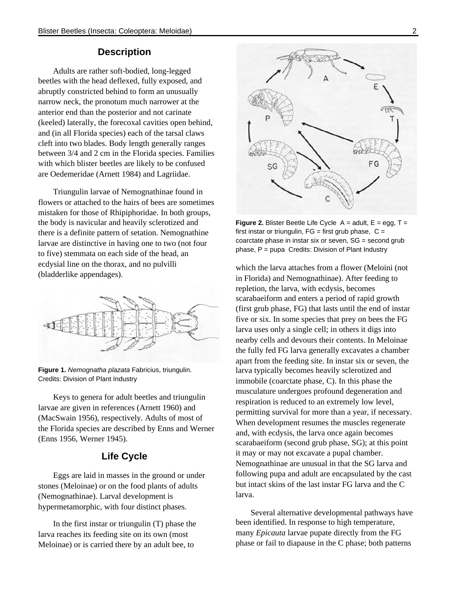### **Description**

Adults are rather soft-bodied, long-legged beetles with the head deflexed, fully exposed, and abruptly constricted behind to form an unusually narrow neck, the pronotum much narrower at the anterior end than the posterior and not carinate (keeled) laterally, the forecoxal cavities open behind, and (in all Florida species) each of the tarsal claws cleft into two blades. Body length generally ranges between 3/4 and 2 cm in the Florida species. Families with which blister beetles are likely to be confused are Oedemeridae (Arnett 1984) and Lagriidae.

Triungulin larvae of Nemognathinae found in flowers or attached to the hairs of bees are sometimes mistaken for those of Rhipiphoridae. In both groups, the body is navicular and heavily sclerotized and there is a definite pattern of setation. Nemognathine larvae are distinctive in having one to two (not four to five) stemmata on each side of the head, an ecdysial line on the thorax, and no pulvilli (bladderlike appendages).



**Figure 1.** *Nemognatha plazata* Fabricius, triungulin. Credits: Division of Plant Industry

Keys to genera for adult beetles and triungulin larvae are given in references (Arnett 1960) and (MacSwain 1956), respectively. Adults of most of the Florida species are described by Enns and Werner (Enns 1956, Werner 1945).

## **Life Cycle**

Eggs are laid in masses in the ground or under stones (Meloinae) or on the food plants of adults (Nemognathinae). Larval development is hypermetamorphic, with four distinct phases.

In the first instar or triungulin (T) phase the larva reaches its feeding site on its own (most Meloinae) or is carried there by an adult bee, to



**Figure 2.** Blister Beetle Life Cycle  $A =$  adult,  $E =$  egg,  $T =$ first instar or triungulin,  $FG =$  first grub phase,  $C =$ coarctate phase in instar six or seven, SG = second grub phase,  $P = pupa$  Credits: Division of Plant Industry

which the larva attaches from a flower (Meloini (not in Florida) and Nemognathinae). After feeding to repletion, the larva, with ecdysis, becomes scarabaeiform and enters a period of rapid growth (first grub phase, FG) that lasts until the end of instar five or six. In some species that prey on bees the FG larva uses only a single cell; in others it digs into nearby cells and devours their contents. In Meloinae the fully fed FG larva generally excavates a chamber apart from the feeding site. In instar six or seven, the larva typically becomes heavily sclerotized and immobile (coarctate phase, C). In this phase the musculature undergoes profound degeneration and respiration is reduced to an extremely low level, permitting survival for more than a year, if necessary. When development resumes the muscles regenerate and, with ecdysis, the larva once again becomes scarabaeiform (second grub phase, SG); at this point it may or may not excavate a pupal chamber. Nemognathinae are unusual in that the SG larva and following pupa and adult are encapsulated by the cast but intact skins of the last instar FG larva and the C larva.

Several alternative developmental pathways have been identified. In response to high temperature, many *Epicauta* larvae pupate directly from the FG phase or fail to diapause in the C phase; both patterns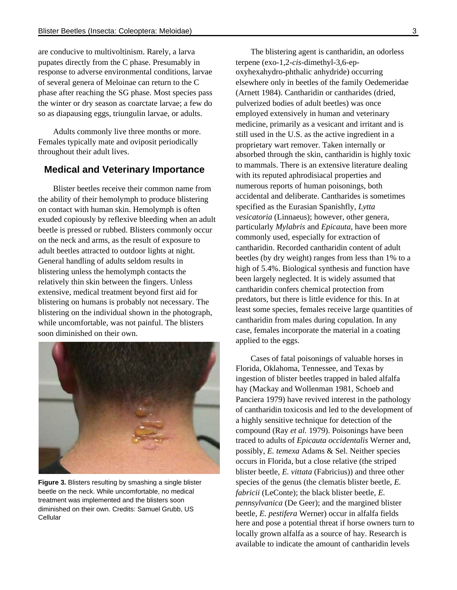are conducive to multivoltinism. Rarely, a larva pupates directly from the C phase. Presumably in response to adverse environmental conditions, larvae of several genera of Meloinae can return to the C phase after reaching the SG phase. Most species pass the winter or dry season as coarctate larvae; a few do so as diapausing eggs, triungulin larvae, or adults.

Adults commonly live three months or more. Females typically mate and oviposit periodically throughout their adult lives.

#### **Medical and Veterinary Importance**

Blister beetles receive their common name from the ability of their hemolymph to produce blistering on contact with human skin. Hemolymph is often exuded copiously by reflexive bleeding when an adult beetle is pressed or rubbed. Blisters commonly occur on the neck and arms, as the result of exposure to adult beetles attracted to outdoor lights at night. General handling of adults seldom results in blistering unless the hemolymph contacts the relatively thin skin between the fingers. Unless extensive, medical treatment beyond first aid for blistering on humans is probably not necessary. The blistering on the individual shown in the photograph, while uncomfortable, was not painful. The blisters soon diminished on their own.



**Figure 3.** Blisters resulting by smashing a single blister beetle on the neck. While uncomfortable, no medical treatment was implemented and the blisters soon diminished on their own. Credits: Samuel Grubb, US Cellular

The blistering agent is cantharidin, an odorless terpene (exo-1,2-*cis*-dimethyl-3,6-epoxyhexahydro-phthalic anhydride) occurring elsewhere only in beetles of the family Oedemeridae (Arnett 1984). Cantharidin or cantharides (dried, pulverized bodies of adult beetles) was once employed extensively in human and veterinary medicine, primarily as a vesicant and irritant and is still used in the U.S. as the active ingredient in a proprietary wart remover. Taken internally or absorbed through the skin, cantharidin is highly toxic to mammals. There is an extensive literature dealing with its reputed aphrodisiacal properties and numerous reports of human poisonings, both accidental and deliberate. Cantharides is sometimes specified as the Eurasian Spanishfly, *Lytta vesicatoria* (Linnaeus); however, other genera, particularly *Mylabris* and *Epicauta*, have been more commonly used, especially for extraction of cantharidin. Recorded cantharidin content of adult beetles (by dry weight) ranges from less than 1% to a high of 5.4%. Biological synthesis and function have been largely neglected. It is widely assumed that cantharidin confers chemical protection from predators, but there is little evidence for this. In at least some species, females receive large quantities of cantharidin from males during copulation. In any case, females incorporate the material in a coating applied to the eggs.

Cases of fatal poisonings of valuable horses in Florida, Oklahoma, Tennessee, and Texas by ingestion of blister beetles trapped in baled alfalfa hay (Mackay and Wollenman 1981, Schoeb and Panciera 1979) have revived interest in the pathology of cantharidin toxicosis and led to the development of a highly sensitive technique for detection of the compound (Ray *et al.* 1979). Poisonings have been traced to adults of *Epicauta occidentalis* Werner and, possibly, *E. temexa* Adams & Sel. Neither species occurs in Florida, but a close relative (the striped blister beetle, *E. vittata* (Fabricius)) and three other species of the genus (the clematis blister beetle, *E. fabricii* (LeConte); the black blister beetle, *E. pennsylvanica* (De Geer); and the margined blister beetle, *E. pestifera* Werner) occur in alfalfa fields here and pose a potential threat if horse owners turn to locally grown alfalfa as a source of hay. Research is available to indicate the amount of cantharidin levels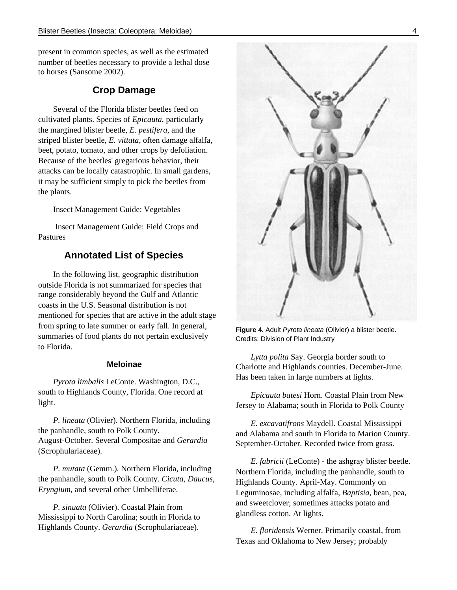present in common species, as well as the estimated number of beetles necessary to provide a lethal dose to horses (Sansome 2002).

### **Crop Damage**

Several of the Florida blister beetles feed on cultivated plants. Species of *Epicauta*, particularly the margined blister beetle, *E. pestifera*, and the striped blister beetle, *E. vittata*, often damage alfalfa, beet, potato, tomato, and other crops by defoliation. Because of the beetles' gregarious behavior, their attacks can be locally catastrophic. In small gardens, it may be sufficient simply to pick the beetles from the plants.

Insect Management Guide: Vegetables

 Insect Management Guide: Field Crops and Pastures

#### **Annotated List of Species**

In the following list, geographic distribution outside Florida is not summarized for species that range considerably beyond the Gulf and Atlantic coasts in the U.S. Seasonal distribution is not mentioned for species that are active in the adult stage from spring to late summer or early fall. In general, summaries of food plants do not pertain exclusively to Florida.

#### **Meloinae**

*Pyrota limbalis* LeConte. Washington, D.C., south to Highlands County, Florida. One record at light.

*P. lineata* (Olivier). Northern Florida, including the panhandle, south to Polk County. August-October. Several Compositae and *Gerardia* (Scrophulariaceae).

*P. mutata* (Gemm.). Northern Florida, including the panhandle, south to Polk County. *Cicuta*, *Daucus*, *Eryngium*, and several other Umbelliferae.

*P. sinuata* (Olivier). Coastal Plain from Mississippi to North Carolina; south in Florida to Highlands County. *Gerardia* (Scrophulariaceae).



**Figure 4.** Adult *Pyrota lineata* (Olivier) a blister beetle. Credits: Division of Plant Industry

*Lytta polita* Say. Georgia border south to Charlotte and Highlands counties. December-June. Has been taken in large numbers at lights.

*Epicauta batesi* Horn. Coastal Plain from New Jersey to Alabama; south in Florida to Polk County

*E. excavatifrons* Maydell. Coastal Mississippi and Alabama and south in Florida to Marion County. September-October. Recorded twice from grass.

*E. fabricii* (LeConte) - the ashgray blister beetle. Northern Florida, including the panhandle, south to Highlands County. April-May. Commonly on Leguminosae, including alfalfa, *Baptisia*, bean, pea, and sweetclover; sometimes attacks potato and glandless cotton. At lights.

*E. floridensis* Werner. Primarily coastal, from Texas and Oklahoma to New Jersey; probably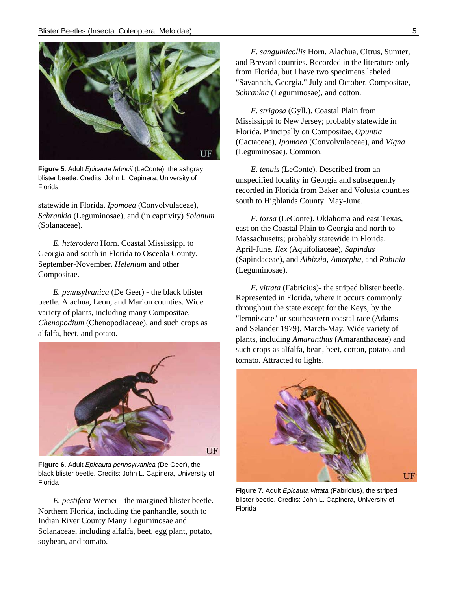

**Figure 5.** Adult *Epicauta fabricii* (LeConte), the ashgray blister beetle. Credits: John L. Capinera, University of Florida

statewide in Florida. *Ipomoea* (Convolvulaceae), *Schrankia* (Leguminosae), and (in captivity) *Solanum* (Solanaceae).

*E. heterodera* Horn. Coastal Mississippi to Georgia and south in Florida to Osceola County. September-November. *Helenium* and other Compositae.

*E. pennsylvanica* (De Geer) - the black blister beetle. Alachua, Leon, and Marion counties. Wide variety of plants, including many Compositae, *Chenopodium* (Chenopodiaceae), and such crops as alfalfa, beet, and potato.



**Figure 6.** Adult *Epicauta pennsylvanica* (De Geer), the black blister beetle. Credits: John L. Capinera, University of Florida

*E. pestifera* Werner - the margined blister beetle. Northern Florida, including the panhandle, south to Indian River County Many Leguminosae and Solanaceae, including alfalfa, beet, egg plant, potato, soybean, and tomato.

*E. sanguinicollis* Horn. Alachua, Citrus, Sumter, and Brevard counties. Recorded in the literature only from Florida, but I have two specimens labeled "Savannah, Georgia." July and October. Compositae, *Schrankia* (Leguminosae), and cotton.

*E. strigosa* (Gyll.). Coastal Plain from Mississippi to New Jersey; probably statewide in Florida. Principally on Compositae, *Opuntia* (Cactaceae), *Ipomoea* (Convolvulaceae), and *Vigna* (Leguminosae). Common.

*E. tenuis* (LeConte). Described from an unspecified locality in Georgia and subsequently recorded in Florida from Baker and Volusia counties south to Highlands County. May-June.

*E. torsa* (LeConte). Oklahoma and east Texas, east on the Coastal Plain to Georgia and north to Massachusetts; probably statewide in Florida. April-June. *Ilex* (Aquifoliaceae), *Sapindus* (Sapindaceae), and *Albizzia*, *Amorpha*, and *Robinia* (Leguminosae).

*E. vittata* (Fabricius)- the striped blister beetle. Represented in Florida, where it occurs commonly throughout the state except for the Keys, by the "lemniscate" or southeastern coastal race (Adams and Selander 1979). March-May. Wide variety of plants, including *Amaranthus* (Amaranthaceae) and such crops as alfalfa, bean, beet, cotton, potato, and tomato. Attracted to lights.



**Figure 7.** Adult *Epicauta vittata* (Fabricius), the striped blister beetle. Credits: John L. Capinera, University of Florida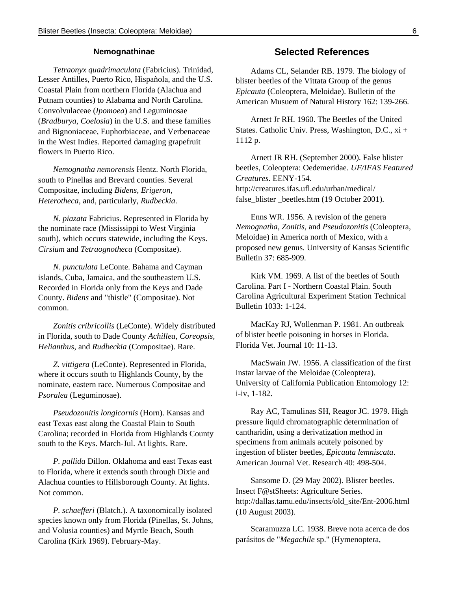#### **Nemognathinae**

*Tetraonyx quadrimaculata* (Fabricius). Trinidad, Lesser Antilles, Puerto Rico, Hispañola, and the U.S. Coastal Plain from northern Florida (Alachua and Putnam counties) to Alabama and North Carolina. Convolvulaceae (*Ipomoea*) and Leguminosae (*Bradburya*, *Coelosia*) in the U.S. and these families and Bignoniaceae, Euphorbiaceae, and Verbenaceae in the West Indies. Reported damaging grapefruit flowers in Puerto Rico.

*Nemognatha nemorensis* Hentz. North Florida, south to Pinellas and Brevard counties. Several Compositae, including *Bidens*, *Erigeron*, *Heterotheca*, and, particularly, *Rudbeckia*.

*N. piazata* Fabricius. Represented in Florida by the nominate race (Mississippi to West Virginia south), which occurs statewide, including the Keys. *Cirsium* and *Tetraognotheca* (Compositae).

*N. punctulata* LeConte. Bahama and Cayman islands, Cuba, Jamaica, and the southeastern U.S. Recorded in Florida only from the Keys and Dade County. *Bidens* and "thistle" (Compositae). Not common.

*Zonitis cribricollis* (LeConte). Widely distributed in Florida, south to Dade County *Achillea*, *Coreopsis*, *Helianthus*, and *Rudbeckia* (Compositae). Rare.

*Z. vittigera* (LeConte). Represented in Florida, where it occurs south to Highlands County, by the nominate, eastern race. Numerous Compositae and *Psoralea* (Leguminosae).

*Pseudozonitis longicornis* (Horn). Kansas and east Texas east along the Coastal Plain to South Carolina; recorded in Florida from Highlands County south to the Keys. March-Jul. At lights. Rare.

*P. pallida* Dillon. Oklahoma and east Texas east to Florida, where it extends south through Dixie and Alachua counties to Hillsborough County. At lights. Not common.

*P. schaefferi* (Blatch.). A taxonomically isolated species known only from Florida (Pinellas, St. Johns, and Volusia counties) and Myrtle Beach, South Carolina (Kirk 1969). February-May.

#### **Selected References**

Adams CL, Selander RB. 1979. The biology of blister beetles of the Vittata Group of the genus *Epicauta* (Coleoptera, Meloidae). Bulletin of the American Musuem of Natural History 162: 139-266.

Arnett Jr RH. 1960. The Beetles of the United States. Catholic Univ. Press, Washington, D.C., xi + 1112 p.

Arnett JR RH. (September 2000). False blister beetles, Coleoptera: Oedemeridae. *UF/IFAS Featured Creatures*. EENY-154. http://creatures.ifas.ufl.edu/urban/medical/ false\_blister \_beetles.htm (19 October 2001).

Enns WR. 1956. A revision of the genera *Nemognatha*, *Zonitis*, and *Pseudozonitis* (Coleoptera, Meloidae) in America north of Mexico, with a proposed new genus. University of Kansas Scientific Bulletin 37: 685-909.

Kirk VM. 1969. A list of the beetles of South Carolina. Part I - Northern Coastal Plain. South Carolina Agricultural Experiment Station Technical Bulletin 1033: 1-124.

MacKay RJ, Wollenman P. 1981. An outbreak of blister beetle poisoning in horses in Florida. Florida Vet. Journal 10: 11-13.

MacSwain JW. 1956. A classification of the first instar larvae of the Meloidae (Coleoptera). University of California Publication Entomology 12: i-iv, 1-182.

Ray AC, Tamulinas SH, Reagor JC. 1979. High pressure liquid chromatographic determination of cantharidin, using a derivatization method in specimens from animals acutely poisoned by ingestion of blister beetles, *Epicauta lemniscata*. American Journal Vet. Research 40: 498-504.

Sansome D. (29 May 2002). Blister beetles. Insect F@stSheets: Agriculture Series. http://dallas.tamu.edu/insects/old\_site/Ent-2006.html (10 August 2003).

Scaramuzza LC. 1938. Breve nota acerca de dos parásitos de "*Megachile* sp." (Hymenoptera,